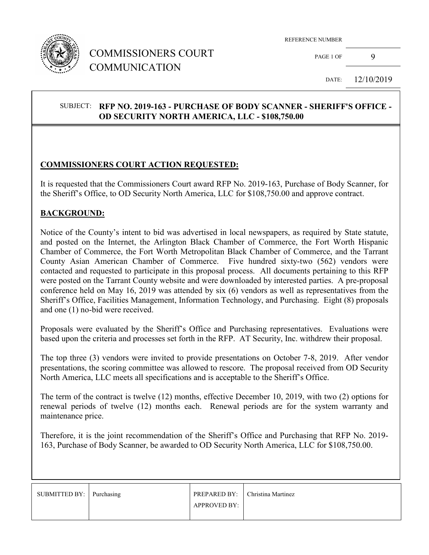

## COMMISSIONERS COURT COMMUNICATION

REFERENCE NUMBER

PAGE 1 OF 9

DATE: 12/10/2019

#### SUBJECT: **RFP NO. 2019-163 - PURCHASE OF BODY SCANNER - SHERIFF'S OFFICE - OD SECURITY NORTH AMERICA, LLC - \$108,750.00**

#### **COMMISSIONERS COURT ACTION REQUESTED:**

It is requested that the Commissioners Court award RFP No. 2019-163, Purchase of Body Scanner, for the Sheriff's Office, to OD Security North America, LLC for \$108,750.00 and approve contract.

#### **BACKGROUND:**

Notice of the County's intent to bid was advertised in local newspapers, as required by State statute, and posted on the Internet, the Arlington Black Chamber of Commerce, the Fort Worth Hispanic Chamber of Commerce, the Fort Worth Metropolitan Black Chamber of Commerce, and the Tarrant County Asian American Chamber of Commerce. Five hundred sixty-two (562) vendors were contacted and requested to participate in this proposal process. All documents pertaining to this RFP were posted on the Tarrant County website and were downloaded by interested parties. A pre-proposal conference held on May 16, 2019 was attended by six (6) vendors as well as representatives from the Sheriff's Office, Facilities Management, Information Technology, and Purchasing. Eight (8) proposals and one (1) no-bid were received.

Proposals were evaluated by the Sheriff's Office and Purchasing representatives. Evaluations were based upon the criteria and processes set forth in the RFP. AT Security, Inc. withdrew their proposal.

The top three (3) vendors were invited to provide presentations on October 7-8, 2019. After vendor presentations, the scoring committee was allowed to rescore. The proposal received from OD Security North America, LLC meets all specifications and is acceptable to the Sheriff's Office.

The term of the contract is twelve (12) months, effective December 10, 2019, with two (2) options for renewal periods of twelve (12) months each. Renewal periods are for the system warranty and maintenance price.

Therefore, it is the joint recommendation of the Sheriff's Office and Purchasing that RFP No. 2019- 163, Purchase of Body Scanner, be awarded to OD Security North America, LLC for \$108,750.00.

| SUBMITTED BY: Purchasing |                     | <b>PREPARED BY:</b> Christina Martinez |
|--------------------------|---------------------|----------------------------------------|
|                          | <b>APPROVED BY:</b> |                                        |